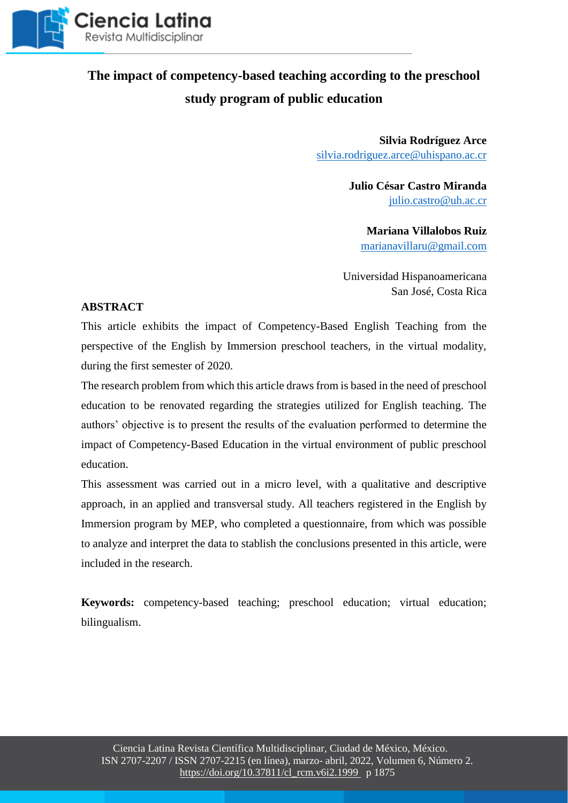

## **The impact of competency-based teaching according to the preschool study program of public education**

**Silvia Rodríguez Arce** [silvia.rodriguez.arce@uhispano.ac.cr](mailto:silvia.rodriguez.arce@uhispano.ac.cr)

> **Julio César Castro Miranda** [julio.castro@uh.ac.cr](mailto:julio.castro@uh.ac.cr)

**Mariana Villalobos Ruiz**  [marianavillaru@gmail.com](mailto:marianavillaru@gmail.com)

Universidad Hispanoamericana San José, Costa Rica

### **ABSTRACT**

This article exhibits the impact of Competency-Based English Teaching from the perspective of the English by Immersion preschool teachers, in the virtual modality, during the first semester of 2020.

The research problem from which this article draws from is based in the need of preschool education to be renovated regarding the strategies utilized for English teaching. The authors' objective is to present the results of the evaluation performed to determine the impact of Competency-Based Education in the virtual environment of public preschool education.

This assessment was carried out in a micro level, with a qualitative and descriptive approach, in an applied and transversal study. All teachers registered in the English by Immersion program by MEP, who completed a questionnaire, from which was possible to analyze and interpret the data to stablish the conclusions presented in this article, were included in the research.

**Keywords:** competency-based teaching; preschool education; virtual education; bilingualism.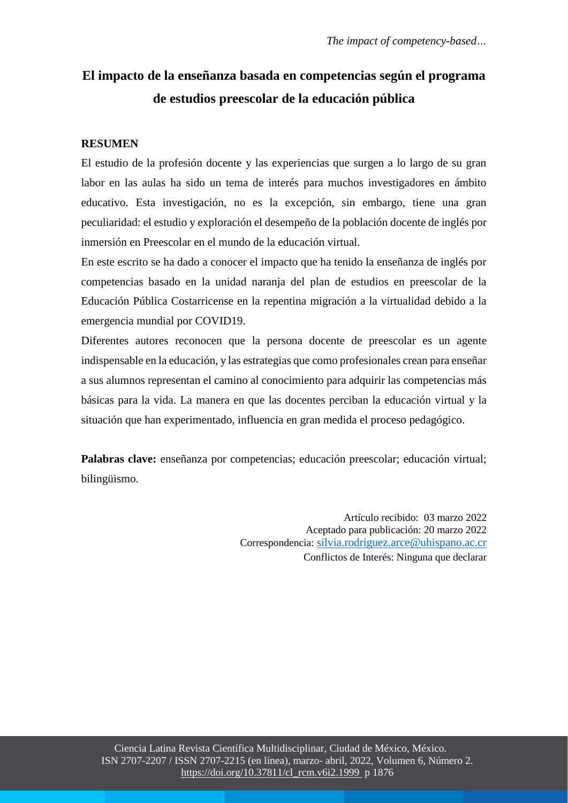# **El impacto de la enseñanza basada en competencias según el programa de estudios preescolar de la educación pública**

## **RESUMEN**

El estudio de la profesión docente y las experiencias que surgen a lo largo de su gran labor en las aulas ha sido un tema de interés para muchos investigadores en ámbito educativo. Esta investigación, no es la excepción, sin embargo, tiene una gran peculiaridad: el estudio y exploración el desempeño de la población docente de inglés por inmersión en Preescolar en el mundo de la educación virtual.

En este escrito se ha dado a conocer el impacto que ha tenido la enseñanza de inglés por competencias basado en la unidad naranja del plan de estudios en preescolar de la Educación Pública Costarricense en la repentina migración a la virtualidad debido a la emergencia mundial por COVID19.

Diferentes autores reconocen que la persona docente de preescolar es un agente indispensable en la educación, y las estrategias que como profesionales crean para enseñar a sus alumnos representan el camino al conocimiento para adquirir las competencias más básicas para la vida. La manera en que las docentes perciban la educación virtual y la situación que han experimentado, influencia en gran medida el proceso pedagógico.

**Palabras clave:** enseñanza por competencias; educación preescolar; educación virtual; bilingüismo.

> Artículo recibido: 03 marzo 2022 Aceptado para publicación: 20 marzo 2022 Correspondencia: [silvia.rodriguez.arce@uhispano.ac.cr](mailto:silvia.rodriguez.arce@uhispano.ac.cr) Conflictos de Interés: Ninguna que declarar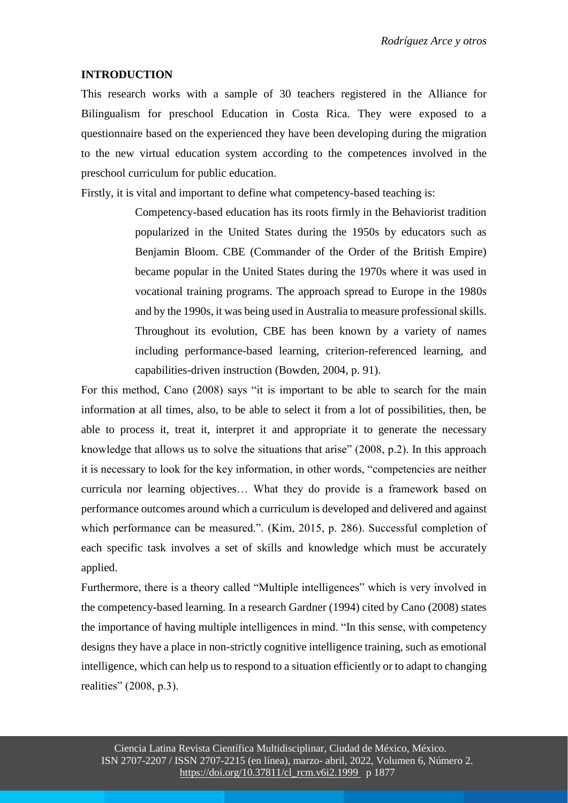#### **INTRODUCTION**

This research works with a sample of 30 teachers registered in the Alliance for Bilingualism for preschool Education in Costa Rica. They were exposed to a questionnaire based on the experienced they have been developing during the migration to the new virtual education system according to the competences involved in the preschool curriculum for public education.

Firstly, it is vital and important to define what competency-based teaching is:

Competency-based education has its roots firmly in the Behaviorist tradition popularized in the United States during the 1950s by educators such as Benjamin Bloom. CBE (Commander of the Order of the British Empire) became popular in the United States during the 1970s where it was used in vocational training programs. The approach spread to Europe in the 1980s and by the 1990s, it was being used in Australia to measure professional skills. Throughout its evolution, CBE has been known by a variety of names including performance-based learning, criterion-referenced learning, and capabilities-driven instruction (Bowden, 2004, p. 91).

For this method, Cano (2008) says "it is important to be able to search for the main information at all times, also, to be able to select it from a lot of possibilities, then, be able to process it, treat it, interpret it and appropriate it to generate the necessary knowledge that allows us to solve the situations that arise" (2008, p.2). In this approach it is necessary to look for the key information, in other words, "competencies are neither curricula nor learning objectives… What they do provide is a framework based on performance outcomes around which a curriculum is developed and delivered and against which performance can be measured.". (Kim, 2015, p. 286). Successful completion of each specific task involves a set of skills and knowledge which must be accurately applied.

Furthermore, there is a theory called "Multiple intelligences" which is very involved in the competency-based learning. In a research Gardner (1994) cited by Cano (2008) states the importance of having multiple intelligences in mind. "In this sense, with competency designs they have a place in non-strictly cognitive intelligence training, such as emotional intelligence, which can help us to respond to a situation efficiently or to adapt to changing realities" (2008, p.3).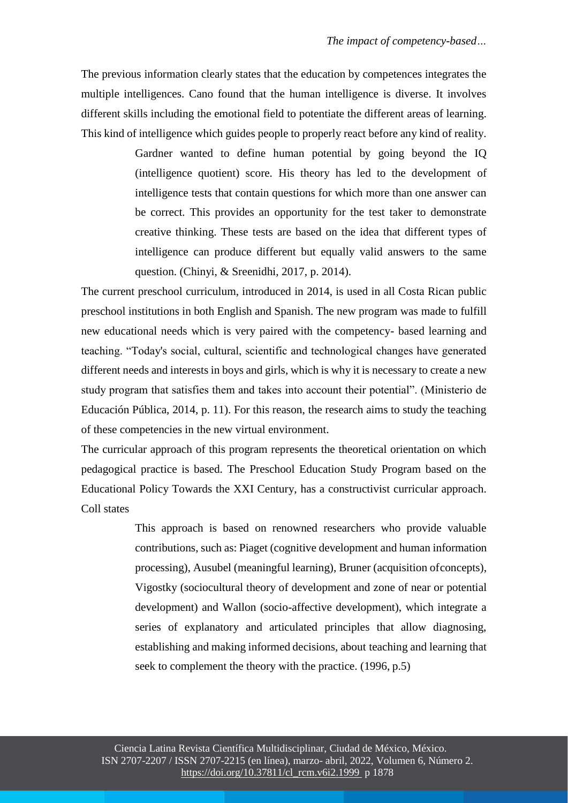The previous information clearly states that the education by competences integrates the multiple intelligences. Cano found that the human intelligence is diverse. It involves different skills including the emotional field to potentiate the different areas of learning. This kind of intelligence which guides people to properly react before any kind of reality.

> Gardner wanted to define human potential by going beyond the IQ (intelligence quotient) score. His theory has led to the development of intelligence tests that contain questions for which more than one answer can be correct. This provides an opportunity for the test taker to demonstrate creative thinking. These tests are based on the idea that different types of intelligence can produce different but equally valid answers to the same question. (Chinyi, & Sreenidhi, 2017, p. 2014).

The current preschool curriculum, introduced in 2014, is used in all Costa Rican public preschool institutions in both English and Spanish. The new program was made to fulfill new educational needs which is very paired with the competency- based learning and teaching. "Today's social, cultural, scientific and technological changes have generated different needs and interests in boys and girls, which is why it is necessary to create a new study program that satisfies them and takes into account their potential". (Ministerio de Educación Pública, 2014, p. 11). For this reason, the research aims to study the teaching of these competencies in the new virtual environment.

The curricular approach of this program represents the theoretical orientation on which pedagogical practice is based. The Preschool Education Study Program based on the Educational Policy Towards the XXI Century, has a constructivist curricular approach. Coll states

> This approach is based on renowned researchers who provide valuable contributions, such as: Piaget (cognitive development and human information processing), Ausubel (meaningful learning), Bruner (acquisition ofconcepts), Vigostky (sociocultural theory of development and zone of near or potential development) and Wallon (socio-affective development), which integrate a series of explanatory and articulated principles that allow diagnosing, establishing and making informed decisions, about teaching and learning that seek to complement the theory with the practice. (1996, p.5)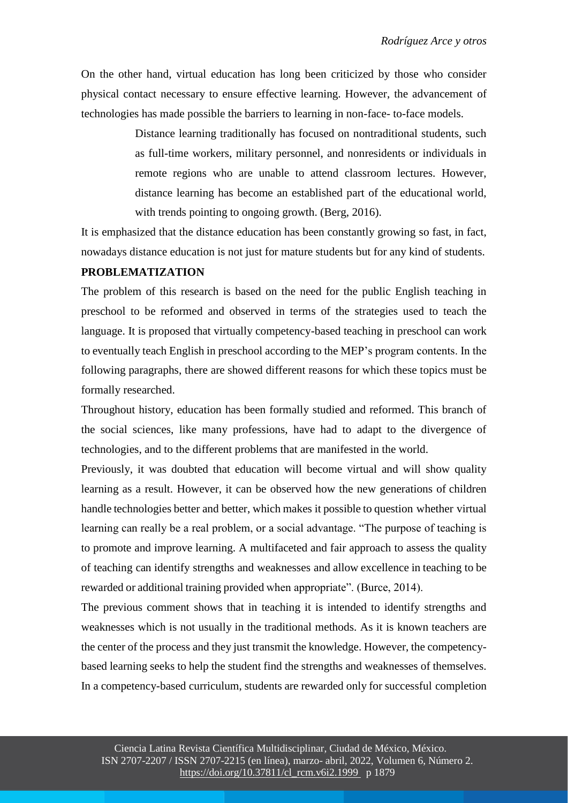On the other hand, virtual education has long been criticized by those who consider physical contact necessary to ensure effective learning. However, the advancement of technologies has made possible the barriers to learning in non-face- to-face models.

> Distance learning traditionally has focused on nontraditional students, such as full-time workers, military personnel, and nonresidents or individuals in remote regions who are unable to attend classroom lectures. However, distance learning has become an established part of the educational world, with trends pointing to ongoing growth. (Berg, 2016).

It is emphasized that the distance education has been constantly growing so fast, in fact, nowadays distance education is not just for mature students but for any kind of students.

#### **PROBLEMATIZATION**

The problem of this research is based on the need for the public English teaching in preschool to be reformed and observed in terms of the strategies used to teach the language. It is proposed that virtually competency-based teaching in preschool can work to eventually teach English in preschool according to the MEP's program contents. In the following paragraphs, there are showed different reasons for which these topics must be formally researched.

Throughout history, education has been formally studied and reformed. This branch of the social sciences, like many professions, have had to adapt to the divergence of technologies, and to the different problems that are manifested in the world.

Previously, it was doubted that education will become virtual and will show quality learning as a result. However, it can be observed how the new generations of children handle technologies better and better, which makes it possible to question whether virtual learning can really be a real problem, or a social advantage. "The purpose of teaching is to promote and improve learning. A multifaceted and fair approach to assess the quality of teaching can identify strengths and weaknesses and allow excellence in teaching to be rewarded or additional training provided when appropriate". (Burce, 2014).

The previous comment shows that in teaching it is intended to identify strengths and weaknesses which is not usually in the traditional methods. As it is known teachers are the center of the process and they just transmit the knowledge. However, the competencybased learning seeks to help the student find the strengths and weaknesses of themselves. In a competency-based curriculum, students are rewarded only for successful completion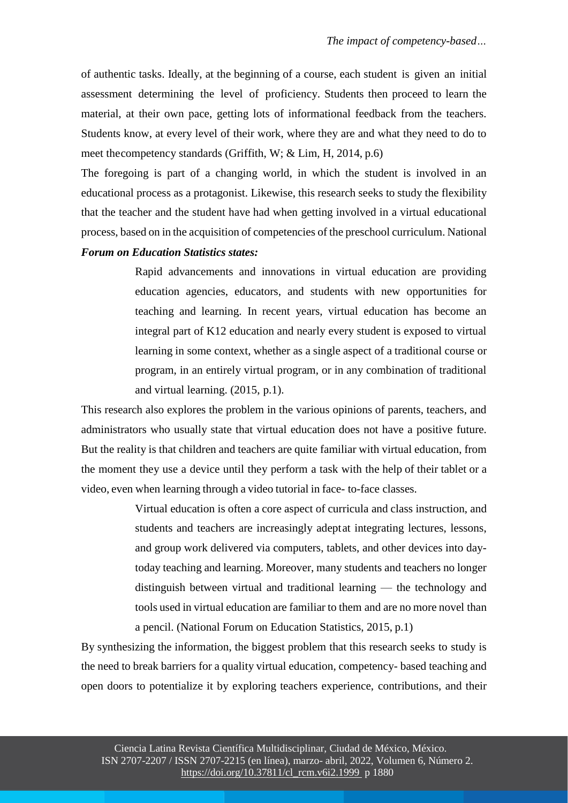of authentic tasks. Ideally, at the beginning of a course, each student is given an initial assessment determining the level of proficiency. Students then proceed to learn the material, at their own pace, getting lots of informational feedback from the teachers. Students know, at every level of their work, where they are and what they need to do to meet thecompetency standards (Griffith, W; & Lim, H, 2014, p.6)

The foregoing is part of a changing world, in which the student is involved in an educational process as a protagonist. Likewise, this research seeks to study the flexibility that the teacher and the student have had when getting involved in a virtual educational process, based on in the acquisition of competencies of the preschool curriculum. National

#### *Forum on Education Statistics states:*

Rapid advancements and innovations in virtual education are providing education agencies, educators, and students with new opportunities for teaching and learning. In recent years, virtual education has become an integral part of K12 education and nearly every student is exposed to virtual learning in some context, whether as a single aspect of a traditional course or program, in an entirely virtual program, or in any combination of traditional and virtual learning. (2015, p.1).

This research also explores the problem in the various opinions of parents, teachers, and administrators who usually state that virtual education does not have a positive future. But the reality is that children and teachers are quite familiar with virtual education, from the moment they use a device until they perform a task with the help of their tablet or a video, even when learning through a video tutorial in face- to-face classes.

> Virtual education is often a core aspect of curricula and class instruction, and students and teachers are increasingly adeptat integrating lectures, lessons, and group work delivered via computers, tablets, and other devices into daytoday teaching and learning. Moreover, many students and teachers no longer distinguish between virtual and traditional learning — the technology and tools used in virtual education are familiar to them and are no more novel than a pencil. (National Forum on Education Statistics, 2015, p.1)

By synthesizing the information, the biggest problem that this research seeks to study is the need to break barriers for a quality virtual education, competency- based teaching and open doors to potentialize it by exploring teachers experience, contributions, and their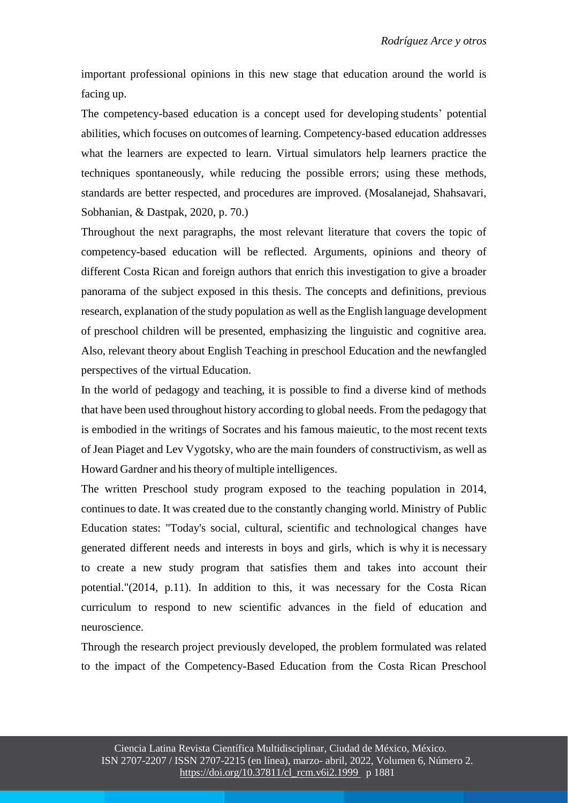important professional opinions in this new stage that education around the world is facing up.

The competency-based education is a concept used for developing students' potential abilities, which focuses on outcomes of learning. Competency-based education addresses what the learners are expected to learn. Virtual simulators help learners practice the techniques spontaneously, while reducing the possible errors; using these methods, standards are better respected, and procedures are improved. (Mosalanejad, Shahsavari, Sobhanian, & Dastpak, 2020, p. 70.)

Throughout the next paragraphs, the most relevant literature that covers the topic of competency-based education will be reflected. Arguments, opinions and theory of different Costa Rican and foreign authors that enrich this investigation to give a broader panorama of the subject exposed in this thesis. The concepts and definitions, previous research, explanation of the study population as well as the English language development of preschool children will be presented, emphasizing the linguistic and cognitive area. Also, relevant theory about English Teaching in preschool Education and the newfangled perspectives of the virtual Education.

In the world of pedagogy and teaching, it is possible to find a diverse kind of methods that have been used throughout history according to global needs. From the pedagogy that is embodied in the writings of Socrates and his famous maieutic, to the most recent texts of Jean Piaget and Lev Vygotsky, who are the main founders of constructivism, as well as Howard Gardner and his theory of multiple intelligences.

The written Preschool study program exposed to the teaching population in 2014, continues to date. It was created due to the constantly changing world. Ministry of Public Education states: "Today's social, cultural, scientific and technological changes have generated different needs and interests in boys and girls, which is why it is necessary to create a new study program that satisfies them and takes into account their potential."(2014, p.11). In addition to this, it was necessary for the Costa Rican curriculum to respond to new scientific advances in the field of education and neuroscience.

Through the research project previously developed, the problem formulated was related to the impact of the Competency-Based Education from the Costa Rican Preschool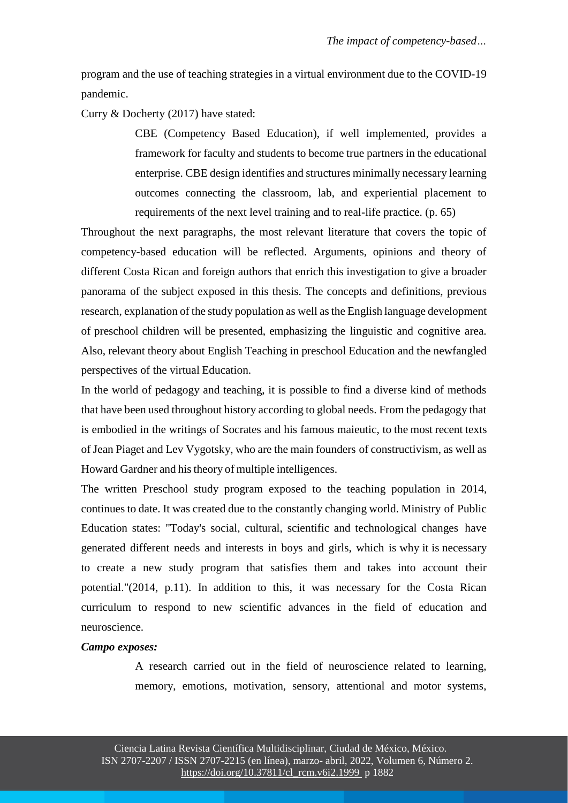program and the use of teaching strategies in a virtual environment due to the COVID-19 pandemic.

Curry & Docherty (2017) have stated:

CBE (Competency Based Education), if well implemented, provides a framework for faculty and students to become true partners in the educational enterprise. CBE design identifies and structures minimally necessary learning outcomes connecting the classroom, lab, and experiential placement to requirements of the next level training and to real-life practice. (p. 65)

Throughout the next paragraphs, the most relevant literature that covers the topic of competency-based education will be reflected. Arguments, opinions and theory of different Costa Rican and foreign authors that enrich this investigation to give a broader panorama of the subject exposed in this thesis. The concepts and definitions, previous research, explanation of the study population as well as the English language development of preschool children will be presented, emphasizing the linguistic and cognitive area. Also, relevant theory about English Teaching in preschool Education and the newfangled perspectives of the virtual Education.

In the world of pedagogy and teaching, it is possible to find a diverse kind of methods that have been used throughout history according to global needs. From the pedagogy that is embodied in the writings of Socrates and his famous maieutic, to the most recent texts of Jean Piaget and Lev Vygotsky, who are the main founders of constructivism, as well as Howard Gardner and his theory of multiple intelligences.

The written Preschool study program exposed to the teaching population in 2014, continues to date. It was created due to the constantly changing world. Ministry of Public Education states: "Today's social, cultural, scientific and technological changes have generated different needs and interests in boys and girls, which is why it is necessary to create a new study program that satisfies them and takes into account their potential."(2014, p.11). In addition to this, it was necessary for the Costa Rican curriculum to respond to new scientific advances in the field of education and neuroscience.

#### *Campo exposes:*

A research carried out in the field of neuroscience related to learning, memory, emotions, motivation, sensory, attentional and motor systems,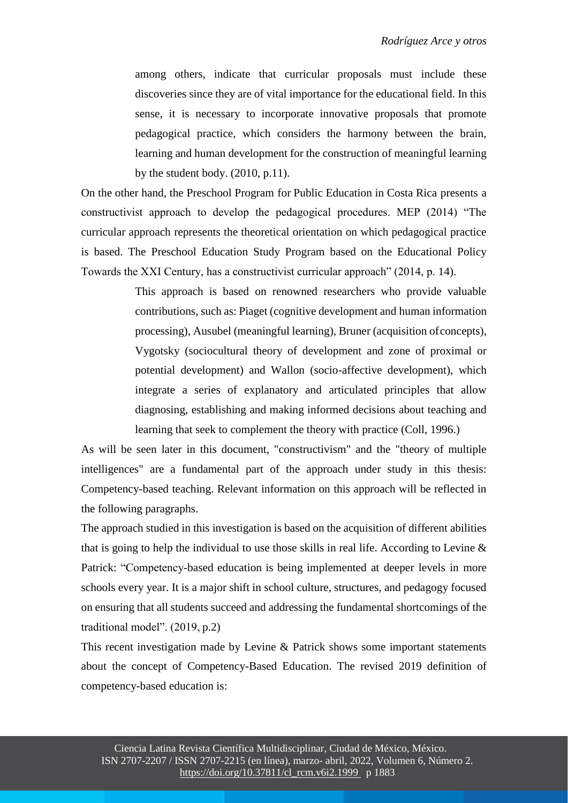among others, indicate that curricular proposals must include these discoveries since they are of vital importance for the educational field. In this sense, it is necessary to incorporate innovative proposals that promote pedagogical practice, which considers the harmony between the brain, learning and human development for the construction of meaningful learning by the student body. (2010, p.11).

On the other hand, the Preschool Program for Public Education in Costa Rica presents a constructivist approach to develop the pedagogical procedures. MEP (2014) "The curricular approach represents the theoretical orientation on which pedagogical practice is based. The Preschool Education Study Program based on the Educational Policy Towards the XXI Century, has a constructivist curricular approach" (2014, p. 14).

> This approach is based on renowned researchers who provide valuable contributions, such as: Piaget (cognitive development and human information processing), Ausubel (meaningful learning), Bruner (acquisition ofconcepts), Vygotsky (sociocultural theory of development and zone of proximal or potential development) and Wallon (socio-affective development), which integrate a series of explanatory and articulated principles that allow diagnosing, establishing and making informed decisions about teaching and learning that seek to complement the theory with practice (Coll, 1996.)

As will be seen later in this document, "constructivism" and the "theory of multiple intelligences" are a fundamental part of the approach under study in this thesis: Competency-based teaching. Relevant information on this approach will be reflected in the following paragraphs.

The approach studied in this investigation is based on the acquisition of different abilities that is going to help the individual to use those skills in real life. According to Levine & Patrick: "Competency-based education is being implemented at deeper levels in more schools every year. It is a major shift in school culture, structures, and pedagogy focused on ensuring that all students succeed and addressing the fundamental shortcomings of the traditional model". (2019, p.2)

This recent investigation made by Levine & Patrick shows some important statements about the concept of Competency-Based Education. The revised 2019 definition of competency-based education is: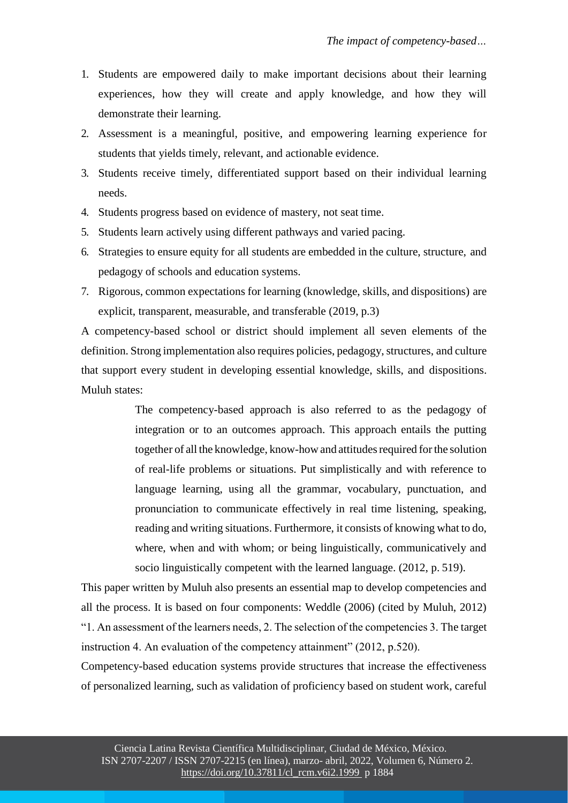- 1. Students are empowered daily to make important decisions about their learning experiences, how they will create and apply knowledge, and how they will demonstrate their learning.
- 2. Assessment is a meaningful, positive, and empowering learning experience for students that yields timely, relevant, and actionable evidence.
- 3. Students receive timely, differentiated support based on their individual learning needs.
- 4. Students progress based on evidence of mastery, not seat time.
- 5. Students learn actively using different pathways and varied pacing.
- 6. Strategies to ensure equity for all students are embedded in the culture, structure, and pedagogy of schools and education systems.
- 7. Rigorous, common expectations for learning (knowledge, skills, and dispositions) are explicit, transparent, measurable, and transferable (2019, p.3)

A competency-based school or district should implement all seven elements of the definition. Strong implementation also requires policies, pedagogy, structures, and culture that support every student in developing essential knowledge, skills, and dispositions. Muluh states:

> The competency-based approach is also referred to as the pedagogy of integration or to an outcomes approach. This approach entails the putting together of all the knowledge, know-how and attitudes required for the solution of real-life problems or situations. Put simplistically and with reference to language learning, using all the grammar, vocabulary, punctuation, and pronunciation to communicate effectively in real time listening, speaking, reading and writing situations. Furthermore, it consists of knowing what to do, where, when and with whom; or being linguistically, communicatively and socio linguistically competent with the learned language. (2012, p. 519).

This paper written by Muluh also presents an essential map to develop competencies and all the process. It is based on four components: Weddle (2006) (cited by Muluh, 2012) "1. An assessment of the learners needs, 2. The selection of the competencies 3. The target instruction 4. An evaluation of the competency attainment" (2012, p.520).

Competency-based education systems provide structures that increase the effectiveness of personalized learning, such as validation of proficiency based on student work, careful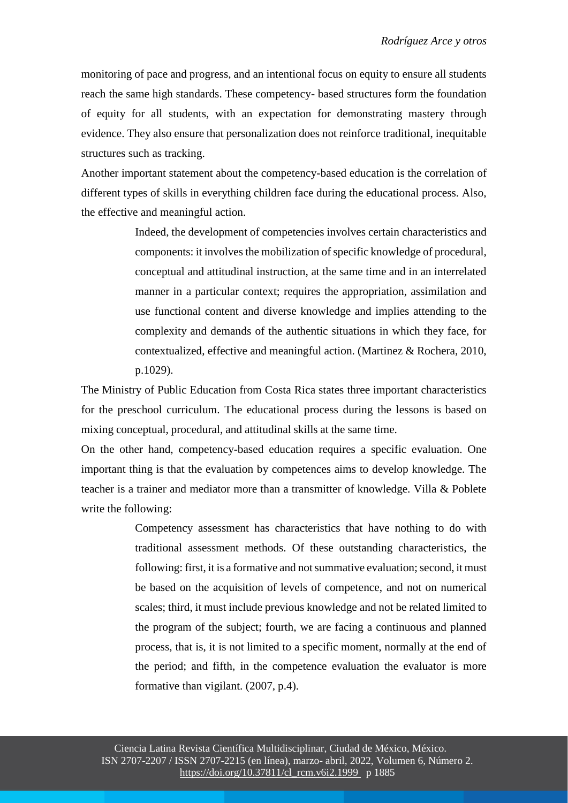monitoring of pace and progress, and an intentional focus on equity to ensure all students reach the same high standards. These competency- based structures form the foundation of equity for all students, with an expectation for demonstrating mastery through evidence. They also ensure that personalization does not reinforce traditional, inequitable structures such as tracking.

Another important statement about the competency-based education is the correlation of different types of skills in everything children face during the educational process. Also, the effective and meaningful action.

> Indeed, the development of competencies involves certain characteristics and components: it involves the mobilization of specific knowledge of procedural, conceptual and attitudinal instruction, at the same time and in an interrelated manner in a particular context; requires the appropriation, assimilation and use functional content and diverse knowledge and implies attending to the complexity and demands of the authentic situations in which they face, for contextualized, effective and meaningful action. (Martinez & Rochera, 2010, p.1029).

The Ministry of Public Education from Costa Rica states three important characteristics for the preschool curriculum. The educational process during the lessons is based on mixing conceptual, procedural, and attitudinal skills at the same time.

On the other hand, competency-based education requires a specific evaluation. One important thing is that the evaluation by competences aims to develop knowledge. The teacher is a trainer and mediator more than a transmitter of knowledge. Villa & Poblete write the following:

> Competency assessment has characteristics that have nothing to do with traditional assessment methods. Of these outstanding characteristics, the following: first, it is a formative and not summative evaluation; second, it must be based on the acquisition of levels of competence, and not on numerical scales; third, it must include previous knowledge and not be related limited to the program of the subject; fourth, we are facing a continuous and planned process, that is, it is not limited to a specific moment, normally at the end of the period; and fifth, in the competence evaluation the evaluator is more formative than vigilant. (2007, p.4).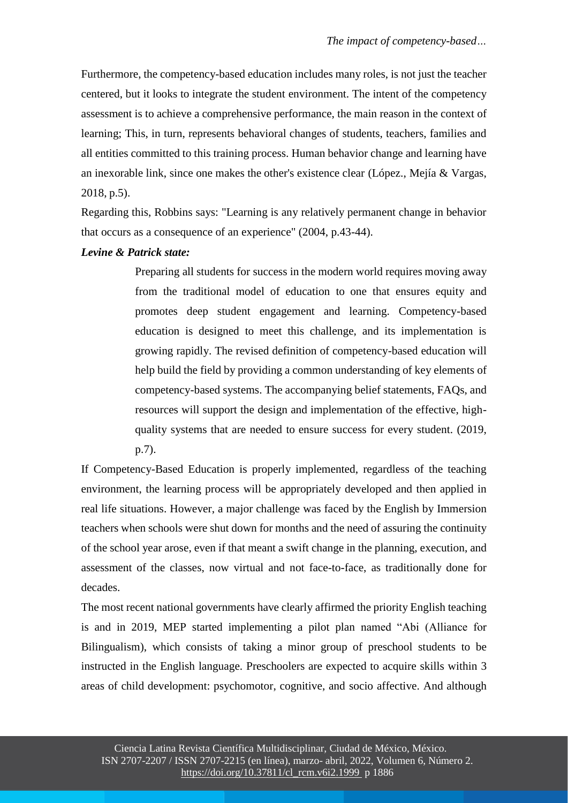Furthermore, the competency-based education includes many roles, is not just the teacher centered, but it looks to integrate the student environment. The intent of the competency assessment is to achieve a comprehensive performance, the main reason in the context of learning; This, in turn, represents behavioral changes of students, teachers, families and all entities committed to this training process. Human behavior change and learning have an inexorable link, since one makes the other's existence clear (López., Mejía & Vargas, 2018, p.5).

Regarding this, Robbins says: "Learning is any relatively permanent change in behavior that occurs as a consequence of an experience" (2004, p.43-44).

#### *Levine & Patrick state:*

Preparing all students for success in the modern world requires moving away from the traditional model of education to one that ensures equity and promotes deep student engagement and learning. Competency-based education is designed to meet this challenge, and its implementation is growing rapidly. The revised definition of competency-based education will help build the field by providing a common understanding of key elements of competency-based systems. The accompanying belief statements, FAQs, and resources will support the design and implementation of the effective, highquality systems that are needed to ensure success for every student. (2019, p.7).

If Competency-Based Education is properly implemented, regardless of the teaching environment, the learning process will be appropriately developed and then applied in real life situations. However, a major challenge was faced by the English by Immersion teachers when schools were shut down for months and the need of assuring the continuity of the school year arose, even if that meant a swift change in the planning, execution, and assessment of the classes, now virtual and not face-to-face, as traditionally done for decades.

The most recent national governments have clearly affirmed the priority English teaching is and in 2019, MEP started implementing a pilot plan named "Abi (Alliance for Bilingualism), which consists of taking a minor group of preschool students to be instructed in the English language. Preschoolers are expected to acquire skills within 3 areas of child development: psychomotor, cognitive, and socio affective. And although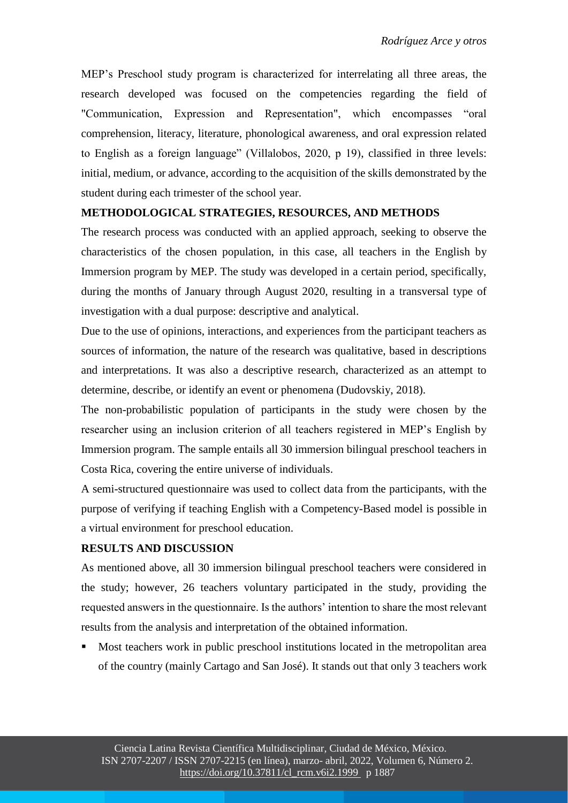MEP's Preschool study program is characterized for interrelating all three areas, the research developed was focused on the competencies regarding the field of "Communication, Expression and Representation", which encompasses "oral comprehension, literacy, literature, phonological awareness, and oral expression related to English as a foreign language" (Villalobos, 2020, p 19), classified in three levels: initial, medium, or advance, according to the acquisition of the skills demonstrated by the student during each trimester of the school year.

## **METHODOLOGICAL STRATEGIES, RESOURCES, AND METHODS**

The research process was conducted with an applied approach, seeking to observe the characteristics of the chosen population, in this case, all teachers in the English by Immersion program by MEP. The study was developed in a certain period, specifically, during the months of January through August 2020, resulting in a transversal type of investigation with a dual purpose: descriptive and analytical.

Due to the use of opinions, interactions, and experiences from the participant teachers as sources of information, the nature of the research was qualitative, based in descriptions and interpretations. It was also a descriptive research, characterized as an attempt to determine, describe, or identify an event or phenomena (Dudovskiy, 2018).

The non-probabilistic population of participants in the study were chosen by the researcher using an inclusion criterion of all teachers registered in MEP's English by Immersion program. The sample entails all 30 immersion bilingual preschool teachers in Costa Rica, covering the entire universe of individuals.

A semi-structured questionnaire was used to collect data from the participants, with the purpose of verifying if teaching English with a Competency-Based model is possible in a virtual environment for preschool education.

### **RESULTS AND DISCUSSION**

As mentioned above, all 30 immersion bilingual preschool teachers were considered in the study; however, 26 teachers voluntary participated in the study, providing the requested answers in the questionnaire. Is the authors' intention to share the most relevant results from the analysis and interpretation of the obtained information.

 Most teachers work in public preschool institutions located in the metropolitan area of the country (mainly Cartago and San José). It stands out that only 3 teachers work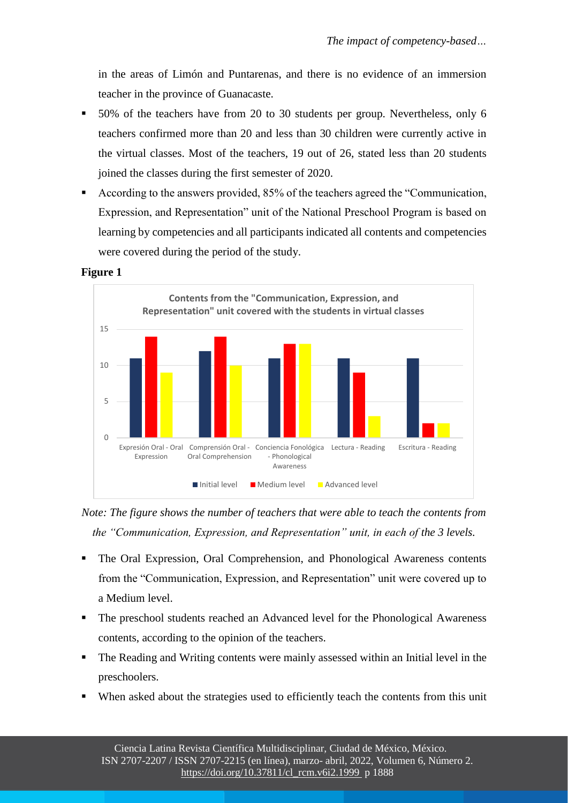in the areas of Limón and Puntarenas, and there is no evidence of an immersion teacher in the province of Guanacaste.

- 50% of the teachers have from 20 to 30 students per group. Nevertheless, only 6 teachers confirmed more than 20 and less than 30 children were currently active in the virtual classes. Most of the teachers, 19 out of 26, stated less than 20 students joined the classes during the first semester of 2020.
- According to the answers provided, 85% of the teachers agreed the "Communication, Expression, and Representation" unit of the National Preschool Program is based on learning by competencies and all participants indicated all contents and competencies were covered during the period of the study.



**Figure 1**

*Note: The figure shows the number of teachers that were able to teach the contents from the "Communication, Expression, and Representation" unit, in each of the 3 levels.*

- The Oral Expression, Oral Comprehension, and Phonological Awareness contents from the "Communication, Expression, and Representation" unit were covered up to a Medium level.
- The preschool students reached an Advanced level for the Phonological Awareness contents, according to the opinion of the teachers.
- The Reading and Writing contents were mainly assessed within an Initial level in the preschoolers.
- When asked about the strategies used to efficiently teach the contents from this unit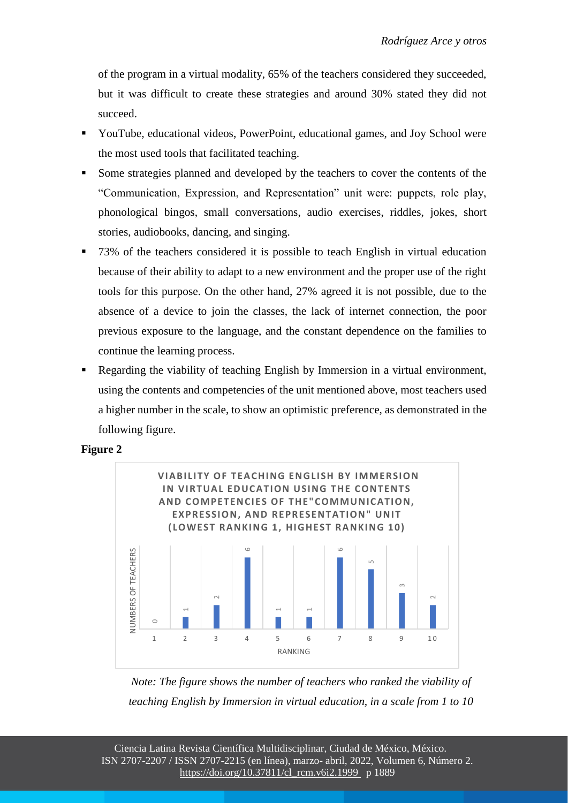of the program in a virtual modality, 65% of the teachers considered they succeeded, but it was difficult to create these strategies and around 30% stated they did not succeed.

- YouTube, educational videos, PowerPoint, educational games, and Joy School were the most used tools that facilitated teaching.
- Some strategies planned and developed by the teachers to cover the contents of the "Communication, Expression, and Representation" unit were: puppets, role play, phonological bingos, small conversations, audio exercises, riddles, jokes, short stories, audiobooks, dancing, and singing.
- 73% of the teachers considered it is possible to teach English in virtual education because of their ability to adapt to a new environment and the proper use of the right tools for this purpose. On the other hand, 27% agreed it is not possible, due to the absence of a device to join the classes, the lack of internet connection, the poor previous exposure to the language, and the constant dependence on the families to continue the learning process.
- Regarding the viability of teaching English by Immersion in a virtual environment, using the contents and competencies of the unit mentioned above, most teachers used a higher number in the scale, to show an optimistic preference, as demonstrated in the following figure.





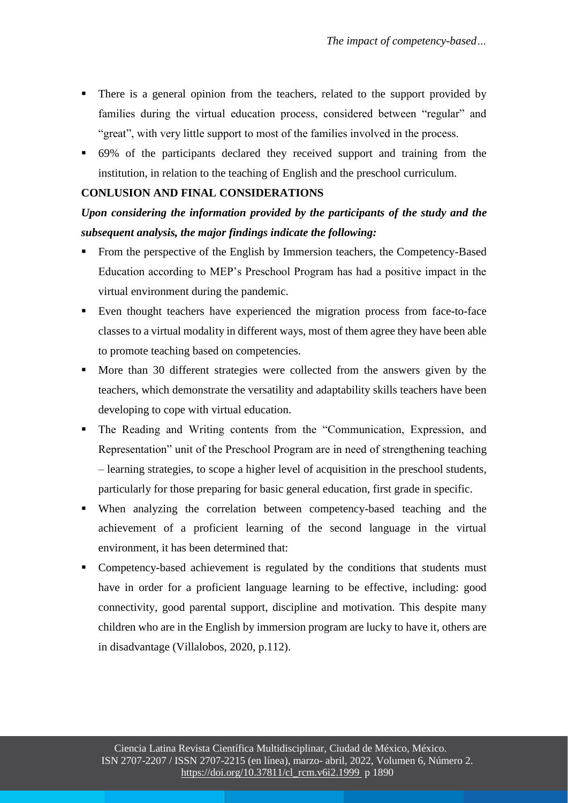- There is a general opinion from the teachers, related to the support provided by families during the virtual education process, considered between "regular" and "great", with very little support to most of the families involved in the process.
- 69% of the participants declared they received support and training from the institution, in relation to the teaching of English and the preschool curriculum.

## **CONLUSION AND FINAL CONSIDERATIONS**

## *Upon considering the information provided by the participants of the study and the subsequent analysis, the major findings indicate the following:*

- From the perspective of the English by Immersion teachers, the Competency-Based Education according to MEP's Preschool Program has had a positive impact in the virtual environment during the pandemic.
- Even thought teachers have experienced the migration process from face-to-face classes to a virtual modality in different ways, most of them agree they have been able to promote teaching based on competencies.
- More than 30 different strategies were collected from the answers given by the teachers, which demonstrate the versatility and adaptability skills teachers have been developing to cope with virtual education.
- The Reading and Writing contents from the "Communication, Expression, and Representation" unit of the Preschool Program are in need of strengthening teaching – learning strategies, to scope a higher level of acquisition in the preschool students, particularly for those preparing for basic general education, first grade in specific.
- When analyzing the correlation between competency-based teaching and the achievement of a proficient learning of the second language in the virtual environment, it has been determined that:
- Competency-based achievement is regulated by the conditions that students must have in order for a proficient language learning to be effective, including: good connectivity, good parental support, discipline and motivation. This despite many children who are in the English by immersion program are lucky to have it, others are in disadvantage (Villalobos, 2020, p.112).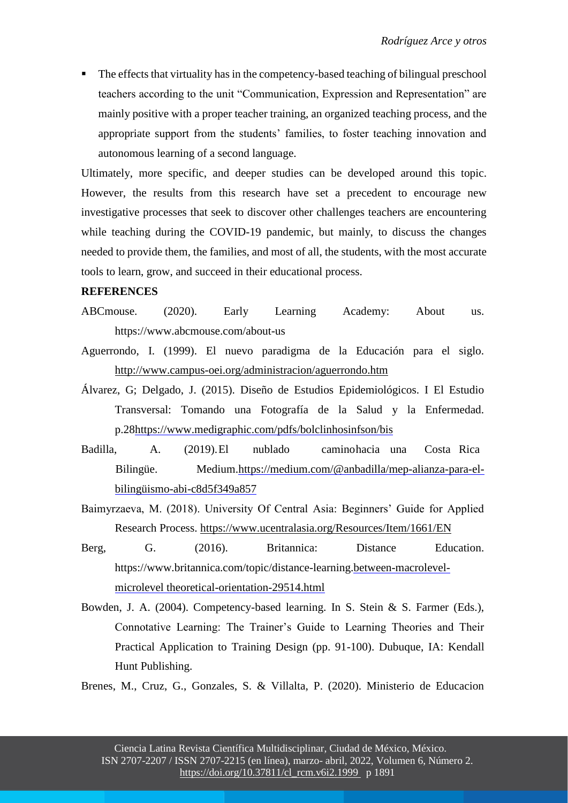The effects that virtuality has in the competency-based teaching of bilingual preschool teachers according to the unit "Communication, Expression and Representation" are mainly positive with a proper teacher training, an organized teaching process, and the appropriate support from the students' families, to foster teaching innovation and autonomous learning of a second language.

Ultimately, more specific, and deeper studies can be developed around this topic. However, the results from this research have set a precedent to encourage new investigative processes that seek to discover other challenges teachers are encountering while teaching during the COVID-19 pandemic, but mainly, to discuss the changes needed to provide them, the families, and most of all, the students, with the most accurate tools to learn, grow, and succeed in their educational process.

#### **REFERENCES**

- ABCmouse. (2020). Early Learning Academy: About us. https:[//www.abcmouse.com/about-us](http://www.abcmouse.com/about-us)
- Aguerrondo, I. (1999). El nuevo paradigma de la Educación para el siglo. <http://www.campus-oei.org/administracion/aguerrondo.htm>
- Álvarez, G; Delgado, J. (2015). Diseño de Estudios Epidemiológicos. I El Estudio Transversal: Tomando una Fotografía de la Salud y la Enfermedad. p.2[8https://www.medigraphic.com/pdfs/bolclinhosinfson/bis](https://www.medigraphic.com/pdfs/bolclinhosinfson/bis)
- Badilla, A. (2019).El nublado caminohacia una Costa Rica Bilingüe. Medium[.https://medium.com/@anbadilla/mep-alianza-para-el](https://medium.com/%40anbadilla/mep-alianza-para-el-bilingÃ¼ismo-abi-c8d5f349a857)[bilingüismo-abi-c8d5f349a857](https://medium.com/%40anbadilla/mep-alianza-para-el-bilingÃ¼ismo-abi-c8d5f349a857)
- Baimyrzaeva, M. (2018). University Of Central Asia: Beginners' Guide for Applied Research Process.<https://www.ucentralasia.org/Resources/Item/1661/EN>
- Berg, G. (2016). Britannica: Distance Education. https:[//www.britannica.com/topic/distance-learning.](http://www.britannica.com/topic/distance-learning)[between-macrolevel](https://yourbusiness.azcentral.com/difference-between-macrolevel-microlevel%20theoretical-orientation-29514.html)[microlevel theoretical-orientation-29514.html](https://yourbusiness.azcentral.com/difference-between-macrolevel-microlevel%20theoretical-orientation-29514.html)
- Bowden, J. A. (2004). Competency-based learning. In S. Stein & S. Farmer (Eds.), Connotative Learning: The Trainer's Guide to Learning Theories and Their Practical Application to Training Design (pp. 91-100). Dubuque, IA: Kendall Hunt Publishing.
- Brenes, M., Cruz, G., Gonzales, S. & Villalta, P. (2020). Ministerio de Educacion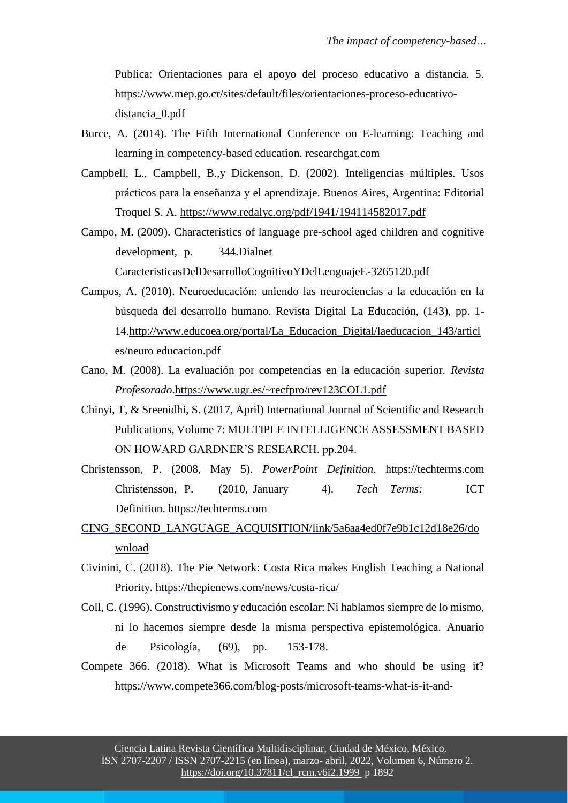Publica: Orientaciones para el apoyo del proceso educativo a distancia. 5. https:[//www.mep.go.cr/sites/default/files/orientaciones-proceso-educativo](http://www.mep.go.cr/sites/default/files/orientaciones-proceso-educativo-)distancia\_0.pdf

- Burce, A. (2014). The Fifth International Conference on E-learning: Teaching and learning in competency-based education. researchgat.com
- Campbell, L., Campbell, B.,y Dickenson, D. (2002). Inteligencias múltiples. Usos prácticos para la enseñanza y el aprendizaje. Buenos Aires, Argentina: Editorial Troquel S. A.<https://www.redalyc.org/pdf/1941/194114582017.pdf>
- Campo, M. (2009). Characteristics of language pre-school aged children and cognitive development, p. 344.Dialnet CaracteristicasDelDesarrolloCognitivoYDelLenguajeE-3265120.pdf
- Campos, A. (2010). Neuroeducación: uniendo las neurociencias a la educación en la búsqueda del desarrollo humano. Revista Digital La Educación, (143), pp. 1- 14[.http://www.educoea.org/portal/La\\_Educacion\\_Digital/laeducacion\\_143/articl](http://www.educoea.org/portal/La_Educacion_Digital/laeducacion_143/articl) es/neuro educacion.pdf
- Cano, M. (2008). La evaluación por competencias en la educación superior. *Revista Profesorado*[.https://www.ugr.es/~recfpro/rev123COL1.pdf](https://www.ugr.es/~recfpro/rev123COL1.pdf)
- Chinyi, T, & Sreenidhi, S. (2017, April) International Journal of Scientific and Research Publications, Volume 7: MULTIPLE INTELLIGENCE ASSESSMENT BASED ON HOWARD GARDNER'S RESEARCH. pp.204.
- Christensson, P. (2008, May 5). *PowerPoint Definition*. https://techterms.com Christensson, P. (2010, January 4). *Tech Terms:* ICT Definition. [https://techterms.com](https://techterms.com/)
- [CING\\_SECOND\\_LANGUAGE\\_ACQUISITION/link/5a6aa4ed0f7e9b1c12d18e26/do](https://www.researchgate.net/publication/322708295_FACTORS_INFLUENCING_SECOND_LANGUAGE_ACQUISITION/link/5a6aa4ed0f7e9b1c12d18e26/download) [wnload](https://www.researchgate.net/publication/322708295_FACTORS_INFLUENCING_SECOND_LANGUAGE_ACQUISITION/link/5a6aa4ed0f7e9b1c12d18e26/download)
- Civinini, C. (2018). The Pie Network: Costa Rica makes English Teaching a National Priority.<https://thepienews.com/news/costa-rica/>
- Coll, C. (1996). Constructivismo y educación escolar: Ni hablamos siempre de lo mismo, ni lo hacemos siempre desde la misma perspectiva epistemológica. Anuario de Psicología, (69), pp. 153-178.
- Compete 366. (2018). What is Microsoft Teams and who should be using it? https:[//www.compete366.com/blog-posts/microsoft-teams-what-is-it-and-](http://www.compete366.com/blog-posts/microsoft-teams-what-is-it-and-)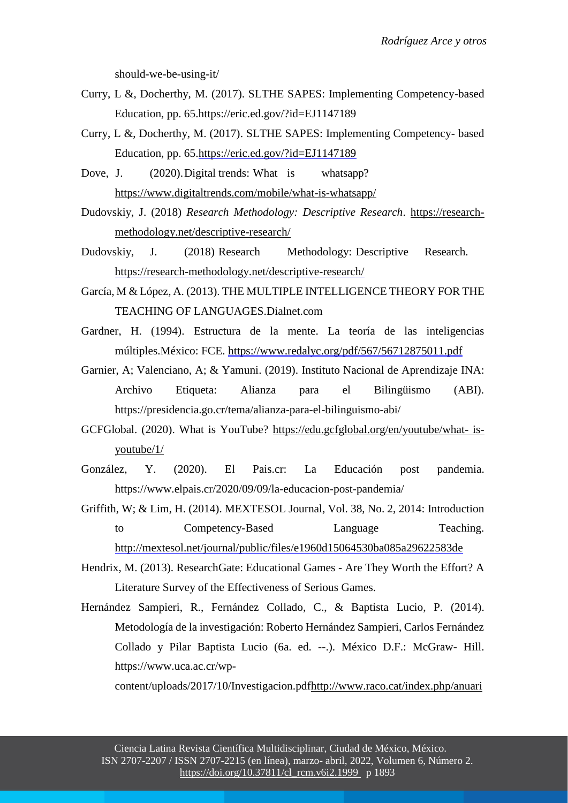should-we-be-using-it/

- Curry, L &, Docherthy, M. (2017). SLTHE SAPES: Implementing Competency-based Education, pp. 65.https://eric.ed.gov/?id=EJ1147189
- Curry, L &, Docherthy, M. (2017). SLTHE SAPES: Implementing Competency- based Education, pp. 65[.https://eric.ed.gov/?id=EJ1147189](https://eric.ed.gov/?id=EJ1147189)
- Dove, J. (2020). Digital trends: What is whatsapp? <https://www.digitaltrends.com/mobile/what-is-whatsapp/>
- Dudovskiy, J. (2018) *Research Methodology: Descriptive Research*. https://researchmethodology.net/descriptive-research/
- Dudovskiy, J. (2018) Research Methodology: Descriptive Research. <https://research-methodology.net/descriptive-research/>
- García, M & López, A. (2013). THE MULTIPLE INTELLIGENCE THEORY FOR THE TEACHING OF LANGUAGES.Dialnet.com
- Gardner, H. (1994). Estructura de la mente. La teoría de las inteligencias múltiples.México: FCE.<https://www.redalyc.org/pdf/567/56712875011.pdf>
- [Garnier,](https://presidencia.go.cr/tema/andre-garnier/) A; [Valenciano, A; & Yamuni.](https://presidencia.go.cr/tema/andres-valenciano-yamuni/) (2019). [Instituto Nacional de Aprendizaje](https://presidencia.go.cr/tema/instituto-nacional-de-aprendizaje-ina/) [INA:](https://presidencia.go.cr/tema/instituto-nacional-de-aprendizaje-ina/) Archivo Etiqueta: Alianza para el Bilingüismo (ABI). <https://presidencia.go.cr/tema/alianza-para-el-bilinguismo-abi/>
- GCFGlobal. (2020). What is YouTube? [https://edu.gcfglobal.org/en/youtube/what-](https://edu.gcfglobal.org/en/youtube/what-%20is-youtube/1/) is[youtube/1/](https://edu.gcfglobal.org/en/youtube/what-%20is-youtube/1/)
- González, Y. (2020). El Pais.cr: La Educación post pandemia. https:[//www.elpais.cr/2020/09/09/la-educacion-post-pandemia/](http://www.elpais.cr/2020/09/09/la-educacion-post-pandemia/)
- Griffith, W; & Lim, H. (2014). MEXTESOL Journal, Vol. 38, No. 2, 2014: Introduction to Competency-Based Language Teaching. [http://mextesol.net/journal/public/files/e1960d15064530ba085a29622583de](http://mextesol.net/journal/public/files/e1960d15064530ba085a29622583de18.pdf.%20pp.6)
- Hendrix, M. (2013). ResearchGate: Educational Games Are They Worth the Effort? A Literature Survey of the Effectiveness of Serious Games.
- Hernández Sampieri, R., Fernández Collado, C., & Baptista Lucio, P. (2014). Metodología de la investigación: Roberto Hernández Sampieri, Carlos Fernández Collado y Pilar Baptista Lucio (6a. ed. --.). México D.F.: McGraw- Hill. https:[//www.uca.ac.cr/wp-](http://www.uca.ac.cr/wp-content/uploads/2017/10/Investigacion.pdf)

[content/uploads/2017/10/Investigacion.pdfhttp://www.raco.cat/index.php/anuari](http://www.uca.ac.cr/wp-content/uploads/2017/10/Investigacion.pdf)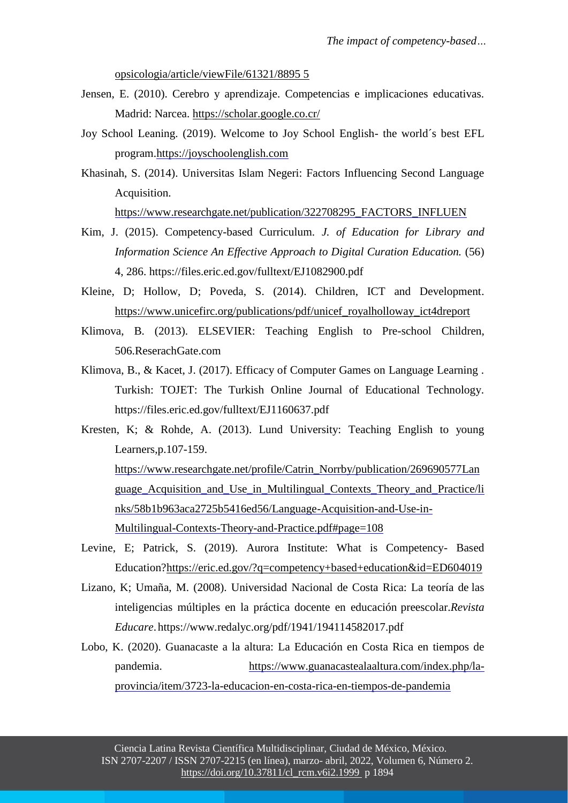[opsicologia/article/viewFile/61321/8895 5](http://www.raco.cat/index.php/anuariopsicologia/article/viewFile/61321/8895%205)

- Jensen, E. (2010). Cerebro y aprendizaje. Competencias e implicaciones educativas. Madrid: Narcea.<https://scholar.google.co.cr/>
- Joy School Leaning. (2019). Welcome to Joy School English- the world´s best EFL program[.https://joyschoolenglish.com](https://joyschoolenglish.com/)
- Khasinah, S. (2014). Universitas Islam Negeri: Factors Influencing Second Language Acquisition.

[https://www.researchgate.net/publication/322708295\\_FACTORS\\_INFLUEN](https://www.researchgate.net/publication/322708295_FACTORS_INFLUENCING_SECOND_LANGUAGE_ACQUISITION/link/5a6aa4ed0f7e9b1c12d18e26/download)

- Kim, J. (2015). Competency-based Curriculum. *J. of Education for Library and Information Science An Effective Approach to Digital Curation Education.* (56) 4, 286. https://files.eric.ed.gov/fulltext/EJ1082900.pdf
- Kleine, D; Hollow, D; Poveda, S. (2014). Children, ICT and Development. [https://www.unicefirc.org/publications/pdf/unicef\\_royalholloway\\_ict4dreport](https://www.unicefirc.org/publications/pdf/unicef_royalholloway_ict4dreport)
- Klimova, B. (2013). ELSEVIER: Teaching English to Pre-school Children, 506.ReserachGate.com
- Klimova, B., & Kacet, J. (2017). Efficacy of Computer Games on Language Learning . Turkish: TOJET: The Turkish Online Journal of Educational Technology. https://files.eric.ed.gov/fulltext/EJ1160637.pdf
- Kresten, K; & Rohde, A. (2013). Lund University: Teaching English to young Learners,p.107-159. [https://www.researchgate.net/profile/Catrin\\_Norrby/publication/269690577Lan](https://www.researchgate.net/profile/Catrin_Norrby/publication/269690577_Language_Acquisition_and_Use_in_Multilingual_Contexts_Theory_and_Practice/links/58b1b963aca2725b5416ed56/Language-Acquisition-and-Use-in-Multilingual-Contexts-Theory-and-Practice.pdf#page%3D108) [guage\\_Acquisition\\_and\\_Use\\_in\\_Multilingual\\_Contexts\\_Theory\\_and\\_Practice/li](https://www.researchgate.net/profile/Catrin_Norrby/publication/269690577_Language_Acquisition_and_Use_in_Multilingual_Contexts_Theory_and_Practice/links/58b1b963aca2725b5416ed56/Language-Acquisition-and-Use-in-Multilingual-Contexts-Theory-and-Practice.pdf#page%3D108) [nks/58b1b963aca2725b5416ed56/Language-Acquisition-and-Use-in-](https://www.researchgate.net/profile/Catrin_Norrby/publication/269690577_Language_Acquisition_and_Use_in_Multilingual_Contexts_Theory_and_Practice/links/58b1b963aca2725b5416ed56/Language-Acquisition-and-Use-in-Multilingual-Contexts-Theory-and-Practice.pdf#page%3D108)[Multilingual-Contexts-Theory-and-Practice.pdf#page=108](https://www.researchgate.net/profile/Catrin_Norrby/publication/269690577_Language_Acquisition_and_Use_in_Multilingual_Contexts_Theory_and_Practice/links/58b1b963aca2725b5416ed56/Language-Acquisition-and-Use-in-Multilingual-Contexts-Theory-and-Practice.pdf#page%3D108)
- Levine, E; Patrick, S. (2019). Aurora Institute: What is Competency- Based Education[?https://eric.ed.gov/?q=competency+based+education&id=ED604019](https://eric.ed.gov/?q=competency%2Bbased%2Beducation&id=ED604019)
- Lizano, K; Umaña, M. (2008). Universidad Nacional de Costa Rica: La teoría de las inteligencias múltiples en la práctica docente en educación preescolar.*Revista Educare*.https:[//www.redalyc.org/pdf/1941/194114582017.pdf](http://www.redalyc.org/pdf/1941/194114582017.pdf)
- Lobo, K. (2020). Guanacaste a la altura: La Educación en Costa Rica en tiempos de pandemia. [https://www.guanacastealaaltura.com/index.php/la](https://www.guanacastealaaltura.com/index.php/la-provincia/item/3723-la-educacion-en-costa-rica-en-tiempos-de-pandemia)[provincia/item/3723-la-educacion-en-costa-rica-en-tiempos-de-pandemia](https://www.guanacastealaaltura.com/index.php/la-provincia/item/3723-la-educacion-en-costa-rica-en-tiempos-de-pandemia)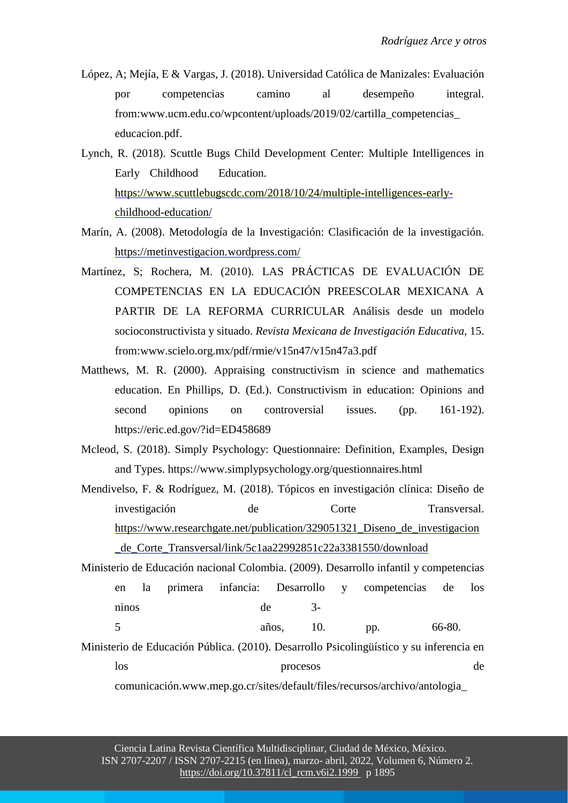- López, A; Mejía, E & Vargas, J. (2018). Universidad Católica de Manizales: Evaluación por competencias camino al desempeño integral. fro[m:www.ucm.edu.co/wpcontent/uploads/2019/02/cartilla\\_competencias\\_](http://www.ucm.edu.co/wpcontent/uploads/2019/02/cartilla_competencias_) educacion.pdf.
- Lynch, R. (2018). Scuttle Bugs Child Development Center: Multiple Intelligences in Early Childhood Education. [https://www.scuttlebugscdc.com/2018/10/24/multiple-intelligences-early](https://www.scuttlebugscdc.com/2018/10/24/multiple-intelligences-early-childhood-education/)[childhood-education/](https://www.scuttlebugscdc.com/2018/10/24/multiple-intelligences-early-childhood-education/)
- Marín, A. (2008). Metodología de la Investigación: Clasificación de la investigación. <https://metinvestigacion.wordpress.com/>
- Martínez, S; Rochera, M. (2010). LAS PRÁCTICAS DE EVALUACIÓN DE COMPETENCIAS EN LA EDUCACIÓN PREESCOLAR MEXICANA A PARTIR DE LA REFORMA CURRICULAR Análisis desde un modelo socioconstructivista y situado. *Revista Mexicana de Investigación Educativa,* 15. fro[m:www.scielo.org.mx/pdf/rmie/v15n47/v15n47a3.pdf](http://www.scielo.org.mx/pdf/rmie/v15n47/v15n47a3.pdf)
- Matthews, M. R. (2000). Appraising constructivism in science and mathematics education. En Phillips, D. (Ed.). Constructivism in education: Opinions and second opinions on controversial issues. (pp. 161-192). https://eric.ed.gov/?id=ED458689
- Mcleod, S. (2018). Simply Psychology: Questionnaire: Definition, Examples, Design and Types. https:[//www.simplypsychology.org/questionnaires.html](http://www.simplypsychology.org/questionnaires.html)
- Mendivelso, F. & Rodríguez, M. (2018). Tópicos en investigación clínica: Diseño de investigación de Corte Transversal. [https://www.researchgate.net/publication/329051321\\_Diseno\\_de\\_investigacion](https://www.researchgate.net/publication/329051321_Diseno_de_investigacion_de_Corte_Transversal/link/5c1aa22992851c22a3381550/download) [\\_de\\_Corte\\_Transversal/link/5c1aa22992851c22a3381550/download](https://www.researchgate.net/publication/329051321_Diseno_de_investigacion_de_Corte_Transversal/link/5c1aa22992851c22a3381550/download)
- Ministerio de Educación nacional Colombia. (2009). Desarrollo infantil y competencias en la primera infancia: Desarrollo y competencias de los ninos de 3- 5 años, 10. pp. 66-80.

Ministerio de Educación Pública. (2010). Desarrollo Psicolingüístico y su inferencia en los procesos de

comunicación[.www.mep.go.cr/sites/default/files/recursos/archivo/antologia\\_](http://www.mep.go.cr/sites/default/files/recursos/archivo/antologia_)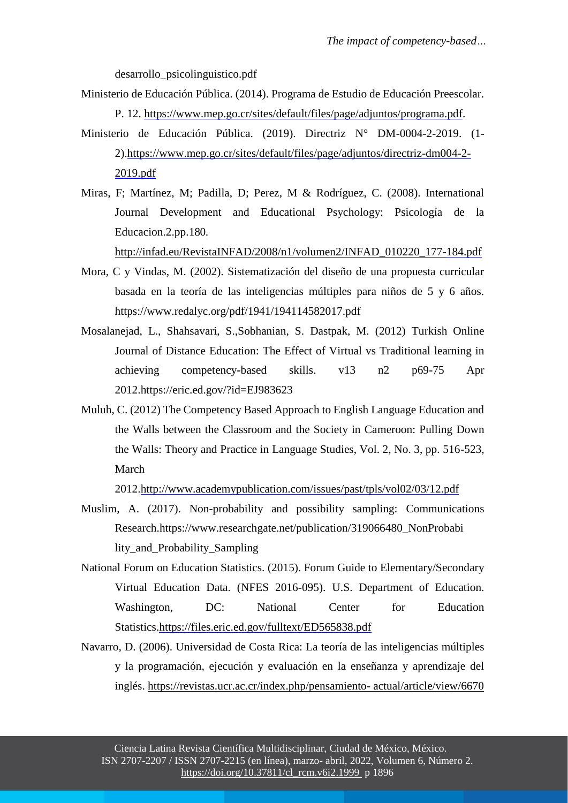desarrollo\_psicolinguistico.pdf

- Ministerio de Educación Pública. (2014). Programa de Estudio de Educación Preescolar. P. 12. [https://www.mep.go.cr/sites/default/files/page/adjuntos/programa.pdf.](https://www.mep.go.cr/sites/default/files/page/adjuntos/programa.pdf)
- Ministerio de Educación Pública. (2019). Directriz N° DM-0004-2-2019. (1- 2)[.https://www.mep.go.cr/sites/default/files/page/adjuntos/directriz-dm004-2-](https://www.mep.go.cr/sites/default/files/page/adjuntos/directriz-dm004-2-2019.pdf) [2019.pdf](https://www.mep.go.cr/sites/default/files/page/adjuntos/directriz-dm004-2-2019.pdf)
- Miras, F; Martínez, M; Padilla, D; Perez, M & Rodríguez, C. (2008). International Journal Development and Educational Psychology: Psicología de la Educacion.2.pp.180.

[http://infad.eu/RevistaINFAD/2008/n1/volumen2/INFAD\\_010220\\_177-184.pdf](http://infad.eu/RevistaINFAD/2008/n1/volumen2/INFAD_010220_177-)

- Mora, C y Vindas, M. (2002). Sistematización del diseño de una propuesta curricular basada en la teoría de las inteligencias múltiples para niños de 5 y 6 años. https:[//www.redalyc.org/pdf/1941/194114582017.pdf](http://www.redalyc.org/pdf/1941/194114582017.pdf)
- Mosalanejad, L., Shahsavari, S.,Sobhanian, S. Dastpak, M. (2012) Turkish Online Journal of Distance Education: The Effect of Virtual vs Traditional learning in achieving competency-based skills. v13 n2 p69-75 Apr 2012.https://eric.ed.gov/?id=EJ983623
- Muluh, C. (2012) The Competency Based Approach to English Language Education and the Walls between the Classroom and the Society in Cameroon: Pulling Down the Walls: Theory and Practice in Language Studies, Vol. 2, No. 3, pp. 516-523, March

2012[.http://www.academypublication.com/issues/past/tpls/vol02/03/12.pdf](http://www.academypublication.com/issues/past/tpls/vol02/03/12.pdf)

- Muslim, A. (2017). Non-probability and possibility sampling: Communications Research.https:[//www.researchgate.net/publication/319066480\\_NonProbabi](http://www.researchgate.net/publication/319066480_NonProbabi) lity\_and\_Probability\_Sampling
- National Forum on Education Statistics. (2015). Forum Guide to Elementary/Secondary Virtual Education Data. (NFES 2016-095). U.S. Department of Education. Washington, DC: National Center for Education Statistics[.https://files.eric.ed.gov/fulltext/ED565838.pdf](https://files.eric.ed.gov/fulltext/ED565838.pdf)
- Navarro, D. (2006). Universidad de Costa Rica: La teoría de las inteligencias múltiples y la programación, ejecución y evaluación en la enseñanza y aprendizaje del inglés. [https://revistas.ucr.ac.cr/index.php/pensamiento-](https://revistas.ucr.ac.cr/index.php/pensamiento-%20actual/article/view/6670) actual/article/view/6670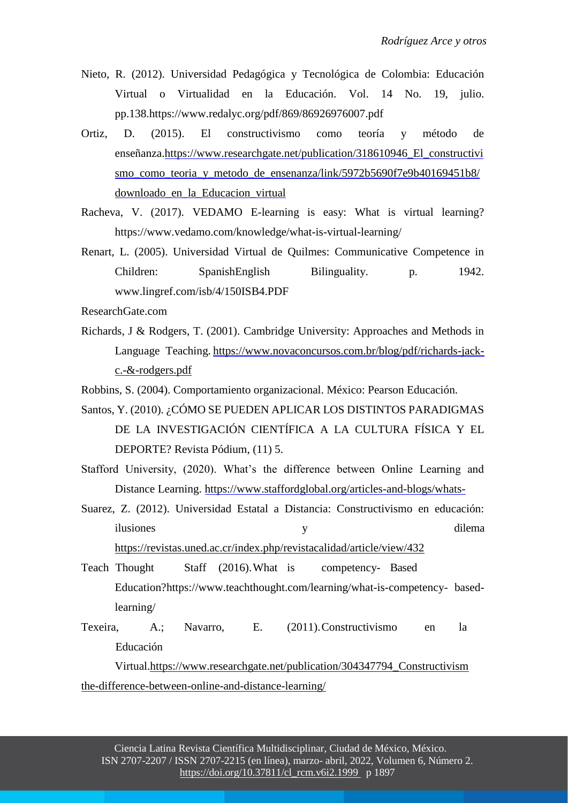- Nieto, R. (2012). Universidad Pedagógica y Tecnológica de Colombia: Educación Virtual o Virtualidad en la Educación. Vol. 14 No. 19, julio. pp.138.https:/[/www.redalyc.org/pdf/869/86926976007.pdf](http://www.redalyc.org/pdf/869/86926976007.pdf)
- Ortiz, D. (2015). El constructivismo como teoría y método de enseñanza[.https://www.researchgate.net/publication/318610946\\_El\\_constructivi](https://www.researchgate.net/publication/318610946_El_constructivismo_como_teoria_y_metodo_de_ensenanza/link/5972b5690f7e9b40169451b8/download) [smo\\_como\\_teoria\\_y\\_metodo\\_de\\_ensenanza/link/5972b5690f7e9b40169451b8/](https://www.researchgate.net/publication/318610946_El_constructivismo_como_teoria_y_metodo_de_ensenanza/link/5972b5690f7e9b40169451b8/download) [downloado\\_en\\_la\\_Educacion\\_virtual](https://www.researchgate.net/publication/318610946_El_constructivismo_como_teoria_y_metodo_de_ensenanza/link/5972b5690f7e9b40169451b8/download)
- Racheva, V. (2017). VEDAMO E-learning is easy: What is virtual learning? https:[//www.vedamo.com/knowledge/what-is-virtual-learning/](http://www.vedamo.com/knowledge/what-is-virtual-learning/)
- Renart, L. (2005). Universidad Virtual de Quilmes: Communicative Competence in Children: SpanishEnglish Bilinguality. p. 1942. [www.lingref.com/isb/4/150ISB4.PDF](http://www.lingref.com/isb/4/150ISB4.PDF)
- ResearchGate.com
- Richards, J & Rodgers, T. (2001). Cambridge University: Approaches and Methods in Language Teaching. [https://www.novaconcursos.com.br/blog/pdf/richards-jack](https://www.novaconcursos.com.br/blog/pdf/richards-jack-c.-%26-rodgers.pdf)[c.-&-rodgers.pdf](https://www.novaconcursos.com.br/blog/pdf/richards-jack-c.-%26-rodgers.pdf)

Robbins, S. (2004). Comportamiento organizacional. México: Pearson Educación.

- Santos, Y. (2010). ¿CÓMO SE PUEDEN APLICAR LOS DISTINTOS PARADIGMAS DE LA INVESTIGACIÓN CIENTÍFICA A LA CULTURA FÍSICA Y EL DEPORTE? Revista Pódium, (11) 5.
- Stafford University, (2020). What's the difference between Online Learning and Distance Learning. [https://www.staffordglobal.org/articles-and-blogs/whats-](https://www.staffordglobal.org/articles-and-blogs/whats-the-difference-between-online-and-distance-learning/)
- Suarez, Z. (2012). Universidad Estatal a Distancia: Constructivismo en educación: ilusiones y dilema

<https://revistas.uned.ac.cr/index.php/revistacalidad/article/view/432>

- Teach Thought Staff (2016).What is competency- Based Education?https:[//www.teachthought.com/learning/what-is-competency-](http://www.teachthought.com/learning/what-is-competency-) basedlearning/
- Texeira, A.; Navarro, E. (2011).Constructivismo en la Educación

Virtual[.https://www.researchgate.net/publication/304347794\\_Constructivism](https://www.researchgate.net/publication/304347794_Constructivismo_en_la_Educacion_virtual) [the-difference-between-online-and-distance-learning/](https://www.staffordglobal.org/articles-and-blogs/whats-the-difference-between-online-and-distance-learning/)